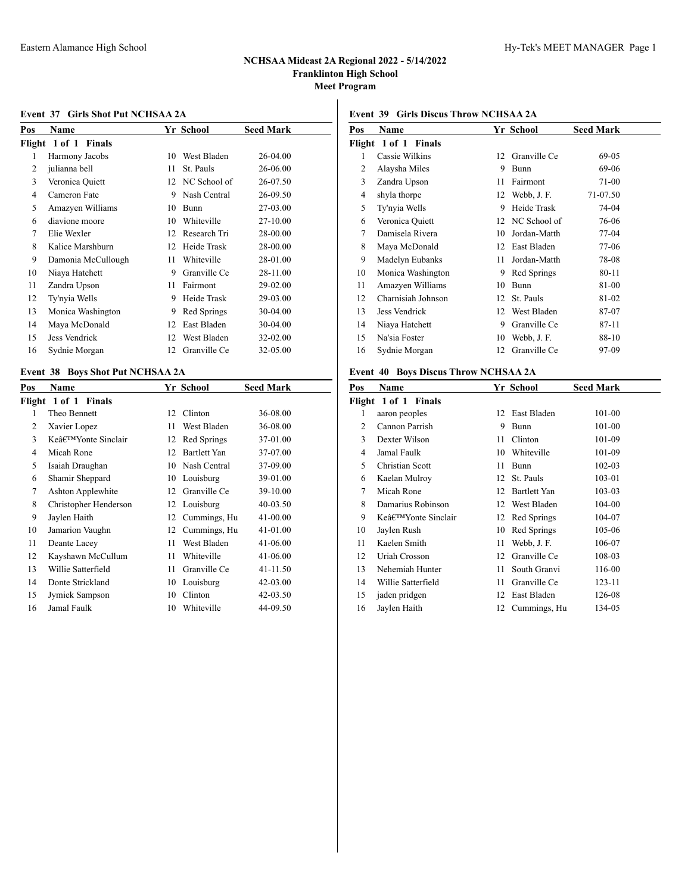### **Event 37 Girls Shot Put NCHSAA 2A**

| Pos | Name                 |    | Yr School    | <b>Seed Mark</b> |
|-----|----------------------|----|--------------|------------------|
|     | Flight 1 of 1 Finals |    |              |                  |
| 1   | Harmony Jacobs       | 10 | West Bladen  | 26-04.00         |
| 2   | julianna bell        | 11 | St. Pauls    | 26-06.00         |
| 3   | Veronica Quiett      | 12 | NC School of | 26-07.50         |
| 4   | Cameron Fate         | 9  | Nash Central | 26-09.50         |
| 5   | Amazyen Williams     | 10 | Bunn         | 27-03.00         |
| 6   | diavione moore       | 10 | Whiteville   | 27-10.00         |
| 7   | Elie Wexler          | 12 | Research Tri | 28-00.00         |
| 8   | Kalice Marshburn     | 12 | Heide Trask  | 28-00.00         |
| 9   | Damonia McCullough   | 11 | Whiteville   | 28-01.00         |
| 10  | Niaya Hatchett       | 9  | Granville Ce | 28-11.00         |
| 11  | Zandra Upson         | 11 | Fairmont     | 29-02.00         |
| 12  | Ty'nyia Wells        | 9  | Heide Trask  | 29-03.00         |
| 13  | Monica Washington    | 9  | Red Springs  | 30-04.00         |
| 14  | Maya McDonald        | 12 | East Bladen  | 30-04.00         |
| 15  | Jess Vendrick        | 12 | West Bladen  | 32-02.00         |
| 16  | Sydnie Morgan        | 12 | Granville Ce | 32-05.00         |

## **Event 38 Boys Shot Put NCHSAA 2A**

| Pos | Name                  |    | Yr School    | <b>Seed Mark</b> |
|-----|-----------------------|----|--------------|------------------|
|     | Flight 1 of 1 Finals  |    |              |                  |
| 1   | Theo Bennett          | 12 | Clinton      | 36-08.00         |
| 2   | Xavier Lopez          | 11 | West Bladen  | 36-08.00         |
| 3   | Ke'Yonte Sinclair     | 12 | Red Springs  | 37-01.00         |
| 4   | Micah Rone            | 12 | Bartlett Yan | 37-07.00         |
| 5   | Isaiah Draughan       | 10 | Nash Central | 37-09.00         |
| 6   | Shamir Sheppard       | 10 | Louisburg    | 39-01.00         |
| 7   | Ashton Applewhite     | 12 | Granville Ce | 39-10.00         |
| 8   | Christopher Henderson | 12 | Louisburg    | 40-03.50         |
| 9   | Jaylen Haith          | 12 | Cummings, Hu | 41-00.00         |
| 10  | Jamarion Vaughn       | 12 | Cummings, Hu | 41-01.00         |
| 11  | Deante Lacey          | 11 | West Bladen  | 41-06.00         |
| 12  | Kayshawn McCullum     | 11 | Whiteville   | 41-06.00         |
| 13  | Willie Satterfield    | 11 | Granville Ce | 41-11.50         |
| 14  | Donte Strickland      | 10 | Louisburg    | 42-03.00         |
| 15  | Jymiek Sampson        | 10 | Clinton      | 42-03.50         |
| 16  | Jamal Faulk           | 10 | Whiteville   | 44-09.50         |

### **Event 39 Girls Discus Throw NCHSAA 2A**

| Name                 |    |              | <b>Seed Mark</b> |
|----------------------|----|--------------|------------------|
| Flight 1 of 1 Finals |    |              |                  |
| Cassie Wilkins       | 12 | Granville Ce | 69-05            |
| Alaysha Miles        | 9  | Bunn         | 69-06            |
| Zandra Upson         | 11 | Fairmont     | 71-00            |
| shyla thorpe         | 12 | Webb, J.F.   | 71-07.50         |
| Ty'nyia Wells        | 9  | Heide Trask  | 74-04            |
| Veronica Quiett      | 12 | NC School of | 76-06            |
| Damisela Rivera      | 10 | Jordan-Matth | 77-04            |
| Maya McDonald        | 12 | East Bladen  | 77-06            |
| Madelyn Eubanks      | 11 | Jordan-Matth | 78-08            |
| Monica Washington    | 9  | Red Springs  | 80-11            |
| Amazyen Williams     | 10 | Bunn         | 81-00            |
| Charnisiah Johnson   | 12 | St. Pauls    | 81-02            |
| Jess Vendrick        | 12 | West Bladen  | 87-07            |
| Niaya Hatchett       | 9  | Granville Ce | 87-11            |
| Na'sia Foster        | 10 | Webb, J. F.  | 88-10            |
| Sydnie Morgan        | 12 | Granville Ce | 97-09            |
|                      |    |              | Yr School        |

# **Event 40 Boys Discus Throw NCHSAA 2A**

| Pos | Name                 |    | Yr School    | <b>Seed Mark</b> |
|-----|----------------------|----|--------------|------------------|
|     | Flight 1 of 1 Finals |    |              |                  |
| 1   | aaron peoples        | 12 | East Bladen  | 101-00           |
| 2   | Cannon Parrish       | 9  | Bunn         | 101-00           |
| 3   | Dexter Wilson        | 11 | Clinton      | 101-09           |
| 4   | Jamal Faulk          | 10 | Whiteville   | 101-09           |
| 5   | Christian Scott      | 11 | Bunn         | $102 - 03$       |
| 6   | Kaelan Mulroy        | 12 | St. Pauls    | 103-01           |
| 7   | Micah Rone           | 12 | Bartlett Yan | 103-03           |
| 8   | Damarius Robinson    | 12 | West Bladen  | 104-00           |
| 9   | Ke'Yonte Sinclair    | 12 | Red Springs  | 104-07           |
| 10  | Jaylen Rush          | 10 | Red Springs  | 105-06           |
| 11  | Kaelen Smith         | 11 | Webb, J. F.  | 106-07           |
| 12  | Uriah Crosson        | 12 | Granville Ce | 108-03           |
| 13  | Nehemiah Hunter      | 11 | South Granvi | 116-00           |
| 14  | Willie Satterfield   | 11 | Granville Ce | 123-11           |
| 15  | jaden pridgen        | 12 | East Bladen  | 126-08           |
| 16  | Jaylen Haith         | 12 | Cummings, Hu | 134-05           |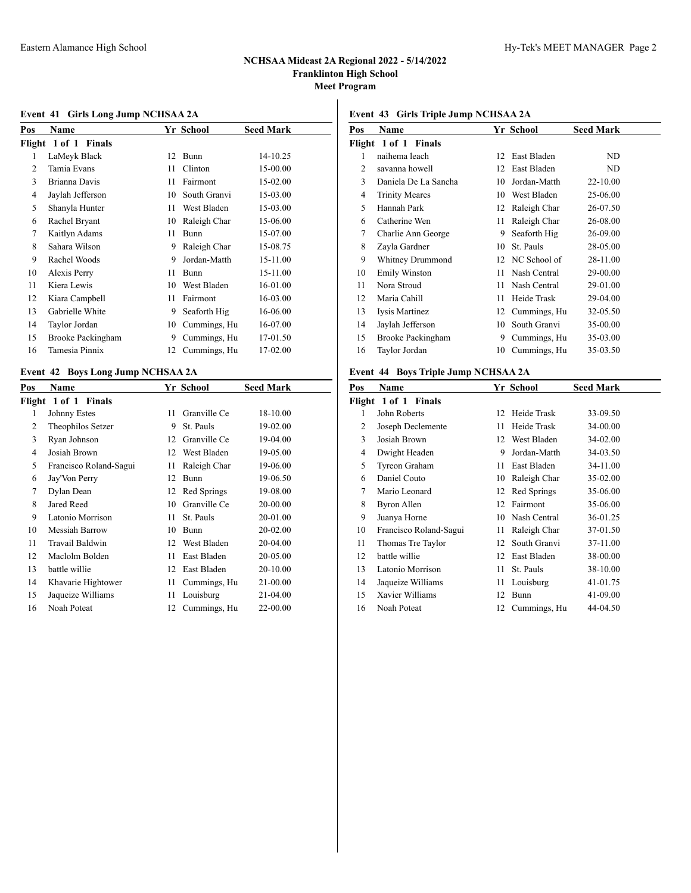## **Event 41 Girls Long Jump NCHSAA 2A**

| Pos | Name                 |    | Yr School    | Seed Mark |
|-----|----------------------|----|--------------|-----------|
|     | Flight 1 of 1 Finals |    |              |           |
| 1   | LaMeyk Black         | 12 | <b>Bunn</b>  | 14-10.25  |
| 2   | Tamia Evans          | 11 | Clinton      | 15-00.00  |
| 3   | Brianna Davis        | 11 | Fairmont     | 15-02.00  |
| 4   | Jaylah Jefferson     | 10 | South Granvi | 15-03.00  |
| 5   | Shanyla Hunter       | 11 | West Bladen  | 15-03.00  |
| 6   | Rachel Bryant        | 10 | Raleigh Char | 15-06.00  |
| 7   | Kaitlyn Adams        | 11 | Bunn         | 15-07.00  |
| 8   | Sahara Wilson        | 9  | Raleigh Char | 15-08.75  |
| 9   | Rachel Woods         | 9  | Jordan-Matth | 15-11.00  |
| 10  | Alexis Perry         | 11 | Bunn         | 15-11.00  |
| 11  | Kiera Lewis          | 10 | West Bladen  | 16-01.00  |
| 12  | Kiara Campbell       | 11 | Fairmont     | 16-03.00  |
| 13  | Gabrielle White      | 9  | Seaforth Hig | 16-06.00  |
| 14  | Taylor Jordan        | 10 | Cummings, Hu | 16-07.00  |
| 15  | Brooke Packingham    | 9  | Cummings, Hu | 17-01.50  |
| 16  | Tamesia Pinnix       | 12 | Cummings, Hu | 17-02.00  |

## **Event 42 Boys Long Jump NCHSAA 2A**

| Pos | Name                   |    | Yr School    | <b>Seed Mark</b> |
|-----|------------------------|----|--------------|------------------|
|     | Flight 1 of 1 Finals   |    |              |                  |
| 1   | Johnny Estes           | 11 | Granville Ce | 18-10.00         |
| 2   | Theophilos Setzer      | 9  | St. Pauls    | 19-02.00         |
| 3   | Ryan Johnson           | 12 | Granville Ce | 19-04.00         |
| 4   | Josiah Brown           | 12 | West Bladen  | 19-05.00         |
| 5   | Francisco Roland-Sagui | 11 | Raleigh Char | 19-06.00         |
| 6   | Jay'Von Perry          | 12 | <b>Bunn</b>  | 19-06.50         |
| 7   | Dylan Dean             | 12 | Red Springs  | 19-08.00         |
| 8   | Jared Reed             | 10 | Granville Ce | 20-00.00         |
| 9   | Latonio Morrison       | 11 | St. Pauls    | 20-01.00         |
| 10  | Messiah Barrow         | 10 | Bunn         | 20-02.00         |
| 11  | Travail Baldwin        | 12 | West Bladen  | 20-04.00         |
| 12  | Maclolm Bolden         | 11 | East Bladen  | 20-05.00         |
| 13  | battle willie          | 12 | East Bladen  | 20-10.00         |
| 14  | Khavarie Hightower     | 11 | Cummings, Hu | 21-00.00         |
| 15  | Jaqueize Williams      | 11 | Louisburg    | 21-04.00         |
| 16  | Noah Poteat            | 12 | Cummings, Hu | 22-00.00         |
|     |                        |    |              |                  |

## **Event 43 Girls Triple Jump NCHSAA 2A**

| Pos | Name                  |    | Yr School    | <b>Seed Mark</b> |
|-----|-----------------------|----|--------------|------------------|
|     | Flight 1 of 1 Finals  |    |              |                  |
| 1   | naihema leach         | 12 | East Bladen  | ND               |
| 2   | savanna howell        | 12 | East Bladen  | ND               |
| 3   | Daniela De La Sancha  | 10 | Jordan-Matth | 22-10.00         |
| 4   | <b>Trinity Meares</b> | 10 | West Bladen  | 25-06.00         |
| 5   | Hannah Park           | 12 | Raleigh Char | 26-07.50         |
| 6   | Catherine Wen         | 11 | Raleigh Char | 26-08.00         |
| 7   | Charlie Ann George    | 9  | Seaforth Hig | 26-09.00         |
| 8   | Zayla Gardner         | 10 | St. Pauls    | 28-05.00         |
| 9   | Whitney Drummond      | 12 | NC School of | 28-11.00         |
| 10  | <b>Emily Winston</b>  | 11 | Nash Central | 29-00.00         |
| 11  | Nora Stroud           | 11 | Nash Central | 29-01.00         |
| 12  | Maria Cahill          | 11 | Heide Trask  | 29-04.00         |
| 13  | Iysis Martinez        | 12 | Cummings, Hu | 32-05.50         |
| 14  | Jaylah Jefferson      | 10 | South Granvi | 35-00.00         |
| 15  | Brooke Packingham     | 9  | Cummings, Hu | 35-03.00         |
| 16  | Taylor Jordan         | 10 | Cummings, Hu | 35-03.50         |
|     |                       |    |              |                  |

# **Event 44 Boys Triple Jump NCHSAA 2A**

| Pos | Name                   |    | Yr School      | <b>Seed Mark</b> |
|-----|------------------------|----|----------------|------------------|
|     | Flight 1 of 1 Finals   |    |                |                  |
| 1   | John Roberts           | 12 | Heide Trask    | 33-09.50         |
| 2   | Joseph Declemente      | 11 | Heide Trask    | 34-00.00         |
| 3   | Josiah Brown           |    | 12 West Bladen | 34-02.00         |
| 4   | Dwight Headen          | 9  | Jordan-Matth   | 34-03.50         |
| 5   | Tyreon Graham          | 11 | East Bladen    | 34-11.00         |
| 6   | Daniel Couto           | 10 | Raleigh Char   | 35-02.00         |
| 7   | Mario Leonard          | 12 | Red Springs    | 35-06.00         |
| 8   | Byron Allen            | 12 | Fairmont       | 35-06.00         |
| 9   | Juanya Horne           | 10 | Nash Central   | 36-01.25         |
| 10  | Francisco Roland-Sagui | 11 | Raleigh Char   | 37-01.50         |
| 11  | Thomas Tre Taylor      | 12 | South Granvi   | 37-11.00         |
| 12  | battle willie          | 12 | East Bladen    | 38-00.00         |
| 13  | Latonio Morrison       | 11 | St. Pauls      | 38-10.00         |
| 14  | Jaqueize Williams      | 11 | Louisburg      | 41-01.75         |
| 15  | Xavier Williams        | 12 | Bunn           | 41-09.00         |
| 16  | Noah Poteat            | 12 | Cummings, Hu   | 44-04.50         |
|     |                        |    |                |                  |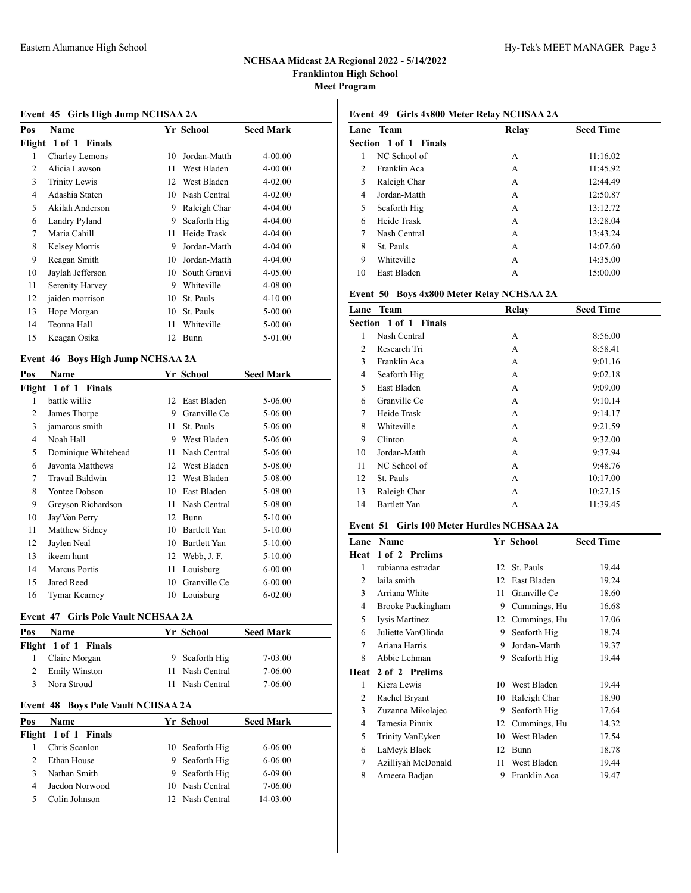## **Event 45 Girls High Jump NCHSAA 2A**

| Name                 |    |              | <b>Seed Mark</b> |
|----------------------|----|--------------|------------------|
| Flight 1 of 1 Finals |    |              |                  |
| Charley Lemons       | 10 | Jordan-Matth | 4-00.00          |
| Alicia Lawson        | 11 | West Bladen  | 4-00.00          |
| <b>Trinity Lewis</b> | 12 | West Bladen  | 4-02.00          |
| Adashia Staten       | 10 | Nash Central | 4-02.00          |
| Akilah Anderson      | 9  | Raleigh Char | 4-04.00          |
| Landry Pyland        | 9  | Seaforth Hig | 4-04.00          |
| Maria Cahill         | 11 | Heide Trask  | 4-04.00          |
| Kelsey Morris        | 9  | Jordan-Matth | 4-04.00          |
| Reagan Smith         | 10 | Jordan-Matth | 4-04.00          |
| Jaylah Jefferson     | 10 | South Granvi | 4-05.00          |
| Serenity Harvey      | 9  | Whiteville   | 4-08.00          |
| jaiden morrison      | 10 | St. Pauls    | $4 - 10.00$      |
| Hope Morgan          | 10 | St. Pauls    | $5 - 00.00$      |
| Teonna Hall          | 11 | Whiteville   | $5 - 00.00$      |
| Keagan Osika         | 12 | Bunn         | 5-01.00          |
|                      |    |              | Yr School        |

## **Event 46 Boys High Jump NCHSAA 2A**

| Pos | Name                 |    | Yr School    | <b>Seed Mark</b> |
|-----|----------------------|----|--------------|------------------|
|     | Flight 1 of 1 Finals |    |              |                  |
| 1   | battle willie        | 12 | East Bladen  | 5-06.00          |
| 2   | James Thorpe         | 9  | Granville Ce | 5-06.00          |
| 3   | jamarcus smith       | 11 | St. Pauls    | 5-06.00          |
| 4   | Noah Hall            | 9  | West Bladen  | 5-06.00          |
| 5   | Dominique Whitehead  | 11 | Nash Central | 5-06.00          |
| 6   | Javonta Matthews     | 12 | West Bladen  | 5-08.00          |
| 7   | Travail Baldwin      | 12 | West Bladen  | 5-08.00          |
| 8   | Yontee Dobson        | 10 | East Bladen  | 5-08.00          |
| 9   | Greyson Richardson   | 11 | Nash Central | 5-08.00          |
| 10  | Jay'Von Perry        | 12 | Bunn         | $5 - 10.00$      |
| 11  | Matthew Sidney       | 10 | Bartlett Yan | 5-10.00          |
| 12  | Jaylen Neal          | 10 | Bartlett Yan | $5 - 10.00$      |
| 13  | ikeem hunt           | 12 | Webb, J. F.  | 5-10.00          |
| 14  | <b>Marcus Portis</b> | 11 | Louisburg    | $6 - 00.00$      |
| 15  | Jared Reed           | 10 | Granville Ce | $6 - 00.00$      |
| 16  | Tymar Kearney        | 10 | Louisburg    | $6 - 02.00$      |

### **Event 47 Girls Pole Vault NCHSAA 2A**

| Pos | <b>Name</b>          | Yr School       | <b>Seed Mark</b> |
|-----|----------------------|-----------------|------------------|
|     | Flight 1 of 1 Finals |                 |                  |
|     | Claire Morgan        | 9 Seaforth Hig  | 7-03.00          |
|     | <b>Emily Winston</b> | 11 Nash Central | 7-06.00          |
|     | Nora Stroud          | 11 Nash Central | 7-06.00          |
|     |                      |                 |                  |

#### **Event 48 Boys Pole Vault NCHSAA 2A**

| Pos | Name                 |    | Yr School       | <b>Seed Mark</b> |  |  |  |
|-----|----------------------|----|-----------------|------------------|--|--|--|
|     | Flight 1 of 1 Finals |    |                 |                  |  |  |  |
|     | Chris Scanlon        |    | 10 Seaforth Hig | 6-06.00          |  |  |  |
|     | Ethan House          | 9. | Seaforth Hig    | $6 - 06.00$      |  |  |  |
|     | Nathan Smith         | 9  | Seaforth Hig    | $6 - 09.00$      |  |  |  |
|     | Jaedon Norwood       |    | 10 Nash Central | 7-06.00          |  |  |  |
|     | Colin Johnson        |    | 12 Nash Central | 14-03.00         |  |  |  |
|     |                      |    |                 |                  |  |  |  |

# **Event 49 Girls 4x800 Meter Relay NCHSAA 2A**

| Lane           | Team                  | Relay | <b>Seed Time</b> |  |
|----------------|-----------------------|-------|------------------|--|
|                | Section 1 of 1 Finals |       |                  |  |
| 1              | NC School of          | А     | 11:16.02         |  |
| $\mathfrak{D}$ | Franklin Aca          | А     | 11:45.92         |  |
| 3              | Raleigh Char          | А     | 12:44.49         |  |
| 4              | Jordan-Matth          | А     | 12:50.87         |  |
| 5              | Seaforth Hig          | А     | 13:12.72         |  |
| 6              | Heide Trask           | А     | 13:28.04         |  |
| 7              | Nash Central          | А     | 13:43.24         |  |
| 8              | St. Pauls             | А     | 14:07.60         |  |
| 9              | Whiteville            | А     | 14:35.00         |  |
| 10             | East Bladen           | А     | 15:00.00         |  |

### **Event 50 Boys 4x800 Meter Relay NCHSAA 2A**

| Lane           | <b>Team</b>                  | Relay | <b>Seed Time</b> |
|----------------|------------------------------|-------|------------------|
|                | <b>Section 1 of 1 Finals</b> |       |                  |
| 1              | Nash Central                 | А     | 8:56.00          |
| $\mathfrak{D}$ | Research Tri                 | А     | 8:58.41          |
| 3              | Franklin Aca                 | А     | 9:01.16          |
| 4              | Seaforth Hig                 | А     | 9:02.18          |
| 5              | East Bladen                  | А     | 9:09.00          |
| 6              | Granville Ce                 | А     | 9:10.14          |
| 7              | Heide Trask                  | А     | 9:14.17          |
| 8              | Whiteville                   | А     | 9:21.59          |
| 9              | <b>Clinton</b>               | А     | 9:32.00          |
| 10             | Jordan-Matth                 | А     | 9:37.94          |
| 11             | NC School of                 | А     | 9:48.76          |
| 12             | St. Pauls                    | А     | 10:17.00         |
| 13             | Raleigh Char                 | А     | 10:27.15         |
| 14             | Bartlett Yan                 | А     | 11:39.45         |
|                |                              |       |                  |

### **Event 51 Girls 100 Meter Hurdles NCHSAA 2A**

| Lane | <b>Name</b>        |    | Yr School    | <b>Seed Time</b> |
|------|--------------------|----|--------------|------------------|
| Heat | 1 of 2 Prelims     |    |              |                  |
| 1    | rubianna estradar  | 12 | St. Pauls    | 19.44            |
| 2    | laila smith        | 12 | East Bladen  | 19.24            |
| 3    | Arriana White      | 11 | Granville Ce | 18.60            |
| 4    | Brooke Packingham  | 9  | Cummings, Hu | 16.68            |
| 5    | Iysis Martinez     | 12 | Cummings, Hu | 17.06            |
| 6    | Juliette VanOlinda | 9  | Seaforth Hig | 18.74            |
| 7    | Ariana Harris      | 9  | Jordan-Matth | 19.37            |
| 8    | Abbie Lehman       | 9  | Seaforth Hig | 19.44            |
| Heat | 2 of 2 Prelims     |    |              |                  |
| 1    | Kiera Lewis        | 10 | West Bladen  | 19.44            |
| 2    | Rachel Bryant      | 10 | Raleigh Char | 18.90            |
| 3    | Zuzanna Mikolajec  | 9  | Seaforth Hig | 17.64            |
| 4    | Tamesia Pinnix     | 12 | Cummings, Hu | 14.32            |
| 5    | Trinity VanEyken   | 10 | West Bladen  | 17.54            |
| 6    | LaMeyk Black       | 12 | Bunn         | 18.78            |
| 7    | Azilliyah McDonald | 11 | West Bladen  | 19.44            |
| 8    | Ameera Badjan      | 9  | Franklin Aca | 19.47            |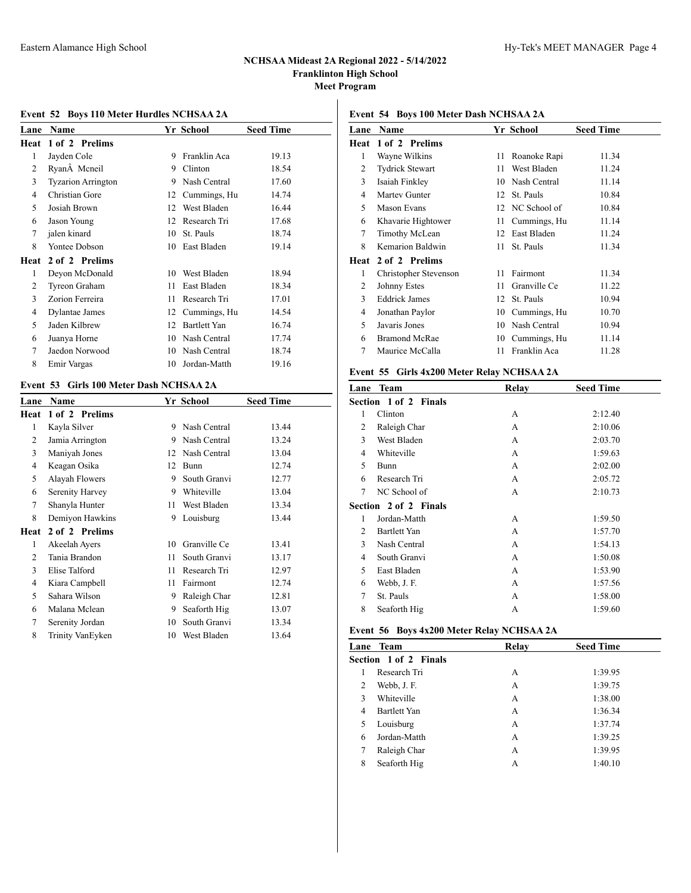## **Event 52 Boys 110 Meter Hurdles NCHSAA 2A**

| Lane        | Name                      |    | Yr School           | <b>Seed Time</b> |
|-------------|---------------------------|----|---------------------|------------------|
| <b>Heat</b> | 1 of 2 Prelims            |    |                     |                  |
| 1           | Jayden Cole               | 9  | Franklin Aca        | 19.13            |
| 2           | RyanA Mcneil              | 9  | Clinton             | 18.54            |
| 3           | <b>Tyzarion Arrington</b> | 9  | Nash Central        | 17.60            |
| 4           | Christian Gore            | 12 | Cummings, Hu        | 14.74            |
| 5           | Josiah Brown              | 12 | West Bladen         | 16.44            |
| 6           | Jason Young               | 12 | Research Tri        | 17.68            |
| 7           | jalen kinard              | 10 | St. Pauls           | 18.74            |
| 8           | Yontee Dobson             | 10 | East Bladen         | 19.14            |
| Heat        | 2 of 2 Prelims            |    |                     |                  |
| 1           | Deyon McDonald            | 10 | West Bladen         | 18.94            |
| 2           | Tyreon Graham             | 11 | East Bladen         | 18.34            |
| 3           | Zorion Ferreira           | 11 | Research Tri        | 17.01            |
| 4           | Dylantae James            | 12 | Cummings, Hu        | 14.54            |
| 5           | Jaden Kilbrew             | 12 | <b>Bartlett Yan</b> | 16.74            |
| 6           | Juanya Horne              | 10 | Nash Central        | 17.74            |
| 7           | Jaedon Norwood            | 10 | Nash Central        | 18.74            |
| 8           | Emir Vargas               | 10 | Jordan-Matth        | 19.16            |

## **Event 53 Girls 100 Meter Dash NCHSAA 2A**

| Lane           | Name             |    | Yr School    | <b>Seed Time</b> |
|----------------|------------------|----|--------------|------------------|
| Heat           | 1 of 2 Prelims   |    |              |                  |
| 1              | Kayla Silver     | 9  | Nash Central | 13.44            |
| 2              | Jamia Arrington  | 9  | Nash Central | 13.24            |
| 3              | Maniyah Jones    | 12 | Nash Central | 13.04            |
| 4              | Keagan Osika     | 12 | <b>Bunn</b>  | 12.74            |
| 5              | Alayah Flowers   | 9  | South Granvi | 12.77            |
| 6              | Serenity Harvey  | 9  | Whiteville   | 13.04            |
| 7              | Shanyla Hunter   | 11 | West Bladen  | 13.34            |
| 8              | Demiyon Hawkins  | 9  | Louisburg    | 13.44            |
| Heat           | 2 of 2 Prelims   |    |              |                  |
| 1              | Akeelah Ayers    | 10 | Granville Ce | 13.41            |
| $\overline{c}$ | Tania Brandon    | 11 | South Granvi | 13.17            |
| 3              | Elise Talford    | 11 | Research Tri | 12.97            |
| 4              | Kiara Campbell   | 11 | Fairmont     | 12.74            |
| 5              | Sahara Wilson    | 9  | Raleigh Char | 12.81            |
| 6              | Malana Mclean    | 9  | Seaforth Hig | 13.07            |
| 7              | Serenity Jordan  | 10 | South Granvi | 13.34            |
| 8              | Trinity VanEyken | 10 | West Bladen  | 13.64            |
|                |                  |    |              |                  |

# **Event 54 Boys 100 Meter Dash NCHSAA 2A**

| Lane | <b>Name</b>            |    | Yr School    | <b>Seed Time</b> |
|------|------------------------|----|--------------|------------------|
| Heat | 1 of 2 Prelims         |    |              |                  |
| 1    | Wayne Wilkins          | 11 | Roanoke Rapi | 11.34            |
| 2    | <b>Tydrick Stewart</b> | 11 | West Bladen  | 11.24            |
| 3    | Isaiah Finkley         | 10 | Nash Central | 11.14            |
| 4    | Martey Gunter          | 12 | St. Pauls    | 10.84            |
| 5    | Mason Evans            | 12 | NC School of | 10.84            |
| 6    | Khavarie Hightower     | 11 | Cummings, Hu | 11.14            |
| 7    | Timothy McLean         | 12 | East Bladen  | 11.24            |
| 8    | Kemarion Baldwin       | 11 | St. Pauls    | 11.34            |
| Heat | 2 of 2 Prelims         |    |              |                  |
| 1    | Christopher Stevenson  | 11 | Fairmont     | 11.34            |
| 2    | Johnny Estes           | 11 | Granville Ce | 11.22            |
| 3    | <b>Eddrick James</b>   | 12 | St. Pauls    | 10.94            |
| 4    | Jonathan Paylor        | 10 | Cummings, Hu | 10.70            |
| 5    | Javaris Jones          | 10 | Nash Central | 10.94            |
| 6    | <b>Bramond McRae</b>   | 10 | Cummings, Hu | 11.14            |
| 7    | Maurice McCalla        | 11 | Franklin Aca | 11.28            |
|      |                        |    |              |                  |

## **Event 55 Girls 4x200 Meter Relay NCHSAA 2A**

| Lane           | Team                  | Relay | <b>Seed Time</b> |
|----------------|-----------------------|-------|------------------|
|                | Section 1 of 2 Finals |       |                  |
| 1              | Clinton               | А     | 2:12.40          |
| 2              | Raleigh Char          | А     | 2:10.06          |
| 3              | West Bladen           | А     | 2:03.70          |
| 4              | Whiteville            | A     | 1:59.63          |
| 5              | Bunn                  | А     | 2:02.00          |
| 6              | Research Tri          | А     | 2:05.72          |
| 7              | NC School of          | А     | 2:10.73          |
|                | Section 2 of 2 Finals |       |                  |
| 1              | Jordan-Matth          | А     | 1:59.50          |
| $\mathfrak{D}$ | <b>Bartlett Yan</b>   | А     | 1:57.70          |
| 3              | Nash Central          | А     | 1:54.13          |
| 4              | South Granvi          | A     | 1:50.08          |
| 5              | East Bladen           | А     | 1:53.90          |
| 6              | Webb, J. F.           | А     | 1:57.56          |
| 7              | St. Pauls             | А     | 1:58.00          |
| 8              | Seaforth Hig          | А     | 1:59.60          |

### **Event 56 Boys 4x200 Meter Relay NCHSAA 2A**

| Lane | Team                  | Relay | <b>Seed Time</b> |
|------|-----------------------|-------|------------------|
|      | Section 1 of 2 Finals |       |                  |
|      | Research Tri          | А     | 1:39.95          |
| 2    | Webb, J. F.           | A     | 1:39.75          |
| 3    | Whiteville            | А     | 1:38.00          |
| 4    | Bartlett Yan          | А     | 1:36.34          |
| 5    | Louisburg             | А     | 1:37.74          |
| 6    | Jordan-Matth          | A     | 1:39.25          |
| 7    | Raleigh Char          | А     | 1:39.95          |
| 8    | Seaforth Hig          | А     | 1:40.10          |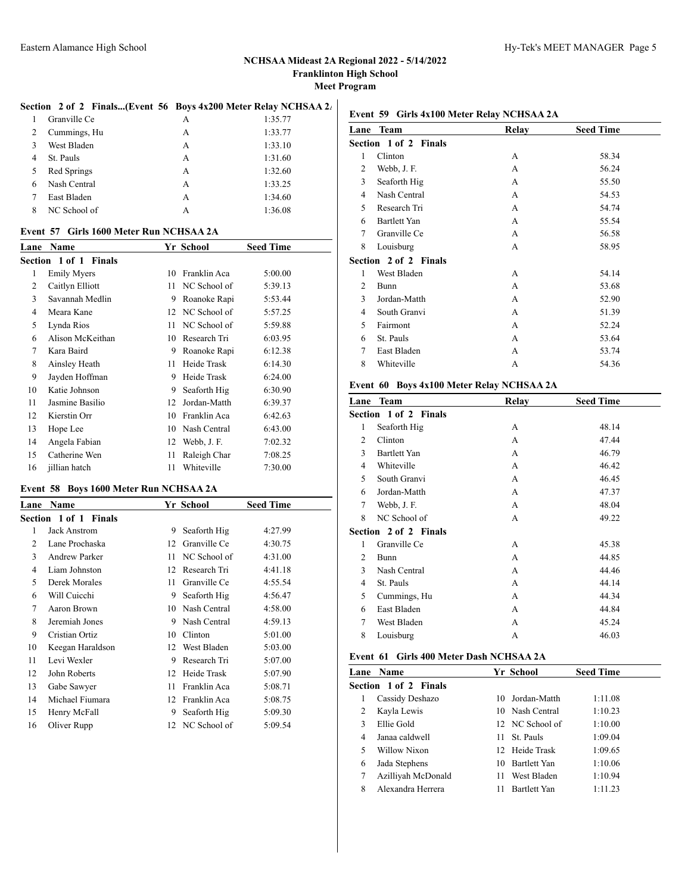### Section 2 of 2 Finals...(Event 56 Boys 4x200 Meter Relay NCHSAA 2<sup>1</sup>

|   | Granville Ce | А | 1:35.77 |
|---|--------------|---|---------|
| 2 | Cummings, Hu | А | 1:33.77 |
| 3 | West Bladen  | A | 1:33.10 |
| 4 | St. Pauls    | A | 1:31.60 |
| 5 | Red Springs  | A | 1:32.60 |
| 6 | Nash Central | А | 1:33.25 |
|   | East Bladen  | А | 1:34.60 |
| 8 | NC School of | А | 1:36.08 |

#### **Event 57 Girls 1600 Meter Run NCHSAA 2A**

| Lane | Name                  |    | Yr School    | <b>Seed Time</b> |
|------|-----------------------|----|--------------|------------------|
|      | Section 1 of 1 Finals |    |              |                  |
| 1    | <b>Emily Myers</b>    | 10 | Franklin Aca | 5:00.00          |
| 2    | Caitlyn Elliott       | 11 | NC School of | 5:39.13          |
| 3    | Savannah Medlin       | 9  | Roanoke Rapi | 5:53.44          |
| 4    | Meara Kane            | 12 | NC School of | 5:57.25          |
| 5    | Lynda Rios            | 11 | NC School of | 5:59.88          |
| 6    | Alison McKeithan      | 10 | Research Tri | 6:03.95          |
| 7    | Kara Baird            | 9  | Roanoke Rapi | 6:12.38          |
| 8    | Ainsley Heath         | 11 | Heide Trask  | 6:14.30          |
| 9    | Jayden Hoffman        | 9  | Heide Trask  | 6:24.00          |
| 10   | Katie Johnson         | 9  | Seaforth Hig | 6:30.90          |
| 11   | Jasmine Basilio       | 12 | Jordan-Matth | 6:39.37          |
| 12   | Kierstin Orr          | 10 | Franklin Aca | 6:42.63          |
| 13   | Hope Lee              | 10 | Nash Central | 6:43.00          |
| 14   | Angela Fabian         | 12 | Webb, J. F.  | 7:02.32          |
| 15   | Catherine Wen         | 11 | Raleigh Char | 7:08.25          |
| 16   | jillian hatch         | 11 | Whiteville   | 7:30.00          |

### **Event 58 Boys 1600 Meter Run NCHSAA 2A**

| Lane | Name                  |    | Yr School       | <b>Seed Time</b> |
|------|-----------------------|----|-----------------|------------------|
|      | Section 1 of 1 Finals |    |                 |                  |
| 1    | Jack Anstrom          | 9  | Seaforth Hig    | 4:27.99          |
| 2    | Lane Prochaska        | 12 | Granville Ce    | 4:30.75          |
| 3    | Andrew Parker         | 11 | NC School of    | 4:31.00          |
| 4    | Liam Johnston         | 12 | Research Tri    | 4:41.18          |
| 5    | Derek Morales         | 11 | Granville Ce    | 4:55.54          |
| 6    | Will Cuicchi          | 9  | Seaforth Hig    | 4:56.47          |
| 7    | Aaron Brown           | 10 | Nash Central    | 4:58.00          |
| 8    | Jeremiah Jones        | 9  | Nash Central    | 4:59.13          |
| 9    | Cristian Ortiz        | 10 | Clinton         | 5:01.00          |
| 10   | Keegan Haraldson      | 12 | West Bladen     | 5:03.00          |
| 11   | Levi Wexler           | 9  | Research Tri    | 5:07.00          |
| 12   | John Roberts          | 12 | Heide Trask     | 5:07.90          |
| 13   | Gabe Sawyer           | 11 | Franklin Aca    | 5:08.71          |
| 14   | Michael Fiumara       | 12 | Franklin Aca    | 5:08.75          |
| 15   | Henry McFall          | 9  | Seaforth Hig    | 5:09.30          |
| 16   | Oliver Rupp           |    | 12 NC School of | 5:09.54          |

### **Event 59 Girls 4x100 Meter Relay NCHSAA 2A**

| Lane           | Team                         | Relay | <b>Seed Time</b> |
|----------------|------------------------------|-------|------------------|
|                | <b>Section 1 of 2 Finals</b> |       |                  |
| 1              | Clinton                      | А     | 58.34            |
| $\overline{c}$ | Webb, J. F.                  | A     | 56.24            |
| 3              | Seaforth Hig                 | A     | 55.50            |
| 4              | Nash Central                 | A     | 54.53            |
| 5              | Research Tri                 | A     | 54.74            |
| 6              | Bartlett Yan                 | A     | 55.54            |
| 7              | Granville Ce                 | A     | 56.58            |
| 8              | Louisburg                    | А     | 58.95            |
|                | <b>Section 2 of 2 Finals</b> |       |                  |
| 1              | West Bladen                  | A     | 54.14            |
| 2              | Bunn                         | А     | 53.68            |
| 3              | Jordan-Matth                 | A     | 52.90            |
| 4              | South Granvi                 | A     | 51.39            |
| 5              | Fairmont                     | A     | 52.24            |
| 6              | St. Pauls                    | А     | 53.64            |
| 7              | East Bladen                  | А     | 53.74            |
| 8              | Whiteville                   | А     | 54.36            |
|                |                              |       |                  |

## **Event 60 Boys 4x100 Meter Relay NCHSAA 2A**

|   | Lane Team                    | Relay | <b>Seed Time</b> |
|---|------------------------------|-------|------------------|
|   | <b>Section 1 of 2 Finals</b> |       |                  |
| 1 | Seaforth Hig                 | A     | 48.14            |
| 2 | Clinton                      | A     | 47.44            |
| 3 | Bartlett Yan                 | A     | 46.79            |
| 4 | Whiteville                   | A     | 46.42            |
| 5 | South Granvi                 | A     | 46.45            |
| 6 | Jordan-Matth                 | A     | 47.37            |
| 7 | Webb, J. F.                  | A     | 48.04            |
| 8 | NC School of                 | A     | 49.22            |
|   | <b>Section 2 of 2 Finals</b> |       |                  |
| 1 | Granville Ce                 | A     | 45.38            |
| 2 | Bunn                         | A     | 44.85            |
| 3 | Nash Central                 | А     | 44.46            |
| 4 | St. Pauls                    | A     | 44.14            |
| 5 | Cummings, Hu                 | A     | 44.34            |
| 6 | East Bladen                  | A     | 44.84            |
| 7 | West Bladen                  | A     | 45.24            |
| 8 | Louisburg                    | А     | 46.03            |
|   |                              |       |                  |

# **Event 61 Girls 400 Meter Dash NCHSAA 2A**

|   | Lane Name             |     | Yr School           | <b>Seed Time</b> |
|---|-----------------------|-----|---------------------|------------------|
|   | Section 1 of 2 Finals |     |                     |                  |
| 1 | Cassidy Deshazo       | 10. | Jordan-Matth        | 1:11.08          |
| 2 | Kayla Lewis           |     | 10 Nash Central     | 1:10.23          |
| 3 | Ellie Gold            |     | 12 NC School of     | 1:10.00          |
| 4 | Janaa caldwell        | 11. | St. Pauls           | 1:09.04          |
| 5 | Willow Nixon          |     | 12 Heide Trask      | 1:09.65          |
| 6 | Jada Stephens         | 10  | <b>Bartlett Yan</b> | 1:10.06          |
| 7 | Azilliyah McDonald    | 11  | West Bladen         | 1:10.94          |
| 8 | Alexandra Herrera     |     | <b>Bartlett Yan</b> | 1:11.23          |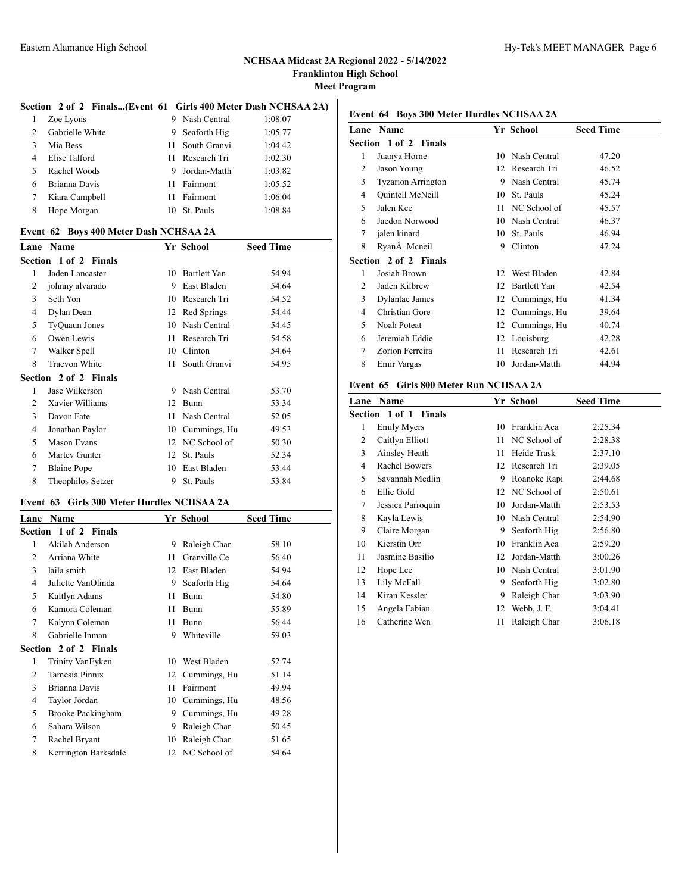### **Section 2 of 2 Finals...(Event 61 Girls 400 Meter Dash NCHSAA 2A)**

| 1                           | Zoe Lyons       |     | 9 Nash Central | 1:08.07 |
|-----------------------------|-----------------|-----|----------------|---------|
| $\mathcal{D}_{\mathcal{L}}$ | Gabrielle White | 9   | Seaforth Hig   | 1:05.77 |
| $\mathbf{3}$                | Mia Bess        | 11. | South Granvi   | 1:04.42 |
| 4                           | Elise Talford   | 11  | Research Tri   | 1:02.30 |
| $\sim$                      | Rachel Woods    |     | 9 Jordan-Matth | 1:03.82 |
| 6                           | Brianna Davis   | 11  | Fairmont       | 1:05.52 |
| 7                           | Kiara Campbell  | 11  | Fairmont       | 1:06.04 |
| 8                           | Hope Morgan     | 10  | St. Pauls      | 1:08.84 |

#### **Event 62 Boys 400 Meter Dash NCHSAA 2A**

| Lane | Name                  |    | Yr School    | <b>Seed Time</b> |
|------|-----------------------|----|--------------|------------------|
|      | Section 1 of 2 Finals |    |              |                  |
| 1    | Jaden Lancaster       | 10 | Bartlett Yan | 54.94            |
| 2    | johnny alvarado       | 9  | East Bladen  | 54.64            |
| 3    | Seth Yon              | 10 | Research Tri | 54.52            |
| 4    | Dylan Dean            | 12 | Red Springs  | 54.44            |
| 5    | TyQuaun Jones         | 10 | Nash Central | 54.45            |
| 6    | Owen Lewis            | 11 | Research Tri | 54.58            |
| 7    | Walker Spell          | 10 | Clinton      | 54.64            |
| 8    | <b>Traevon White</b>  | 11 | South Granvi | 54.95            |
|      | Section 2 of 2 Finals |    |              |                  |
| 1    | Jase Wilkerson        | 9  | Nash Central | 53.70            |
| 2    | Xavier Williams       | 12 | Bunn         | 53.34            |
| 3    | Davon Fate            | 11 | Nash Central | 52.05            |
| 4    | Jonathan Paylor       | 10 | Cummings, Hu | 49.53            |
| 5    | Mason Evans           | 12 | NC School of | 50.30            |
| 6    | Martey Gunter         | 12 | St. Pauls    | 52.34            |
| 7    | <b>Blaine Pope</b>    | 10 | East Bladen  | 53.44            |
| 8    | Theophilos Setzer     | 9  | St. Pauls    | 53.84            |

## **Event 63 Girls 300 Meter Hurdles NCHSAA 2A**

| Lane | Name                  |    | Yr School       | <b>Seed Time</b> |
|------|-----------------------|----|-----------------|------------------|
|      | Section 1 of 2 Finals |    |                 |                  |
| 1    | Akilah Anderson       | 9  | Raleigh Char    | 58.10            |
| 2    | Arriana White         | 11 | Granville Ce    | 56.40            |
| 3    | laila smith           | 12 | East Bladen     | 54.94            |
| 4    | Juliette VanOlinda    | 9  | Seaforth Hig    | 54.64            |
| 5    | Kaitlyn Adams         | 11 | Bunn            | 54.80            |
| 6    | Kamora Coleman        | 11 | Bunn            | 55.89            |
| 7    | Kalynn Coleman        | 11 | Bunn            | 56.44            |
| 8    | Gabrielle Inman       | 9  | Whiteville      | 59.03            |
|      | Section 2 of 2 Finals |    |                 |                  |
| 1    | Trinity VanEyken      | 10 | West Bladen     | 52.74            |
| 2    | Tamesia Pinnix        | 12 | Cummings, Hu    | 51.14            |
| 3    | Brianna Davis         | 11 | Fairmont        | 49.94            |
| 4    | Taylor Jordan         | 10 | Cummings, Hu    | 48.56            |
| 5    | Brooke Packingham     | 9  | Cummings, Hu    | 49.28            |
| 6    | Sahara Wilson         | 9  | Raleigh Char    | 50.45            |
| 7    | Rachel Bryant         | 10 | Raleigh Char    | 51.65            |
| 8    | Kerrington Barksdale  |    | 12 NC School of | 54.64            |

# **Event 64 Boys 300 Meter Hurdles NCHSAA 2A**

| Lane | <b>Name</b>                  |    | Yr School           | <b>Seed Time</b> |
|------|------------------------------|----|---------------------|------------------|
|      | <b>Section 1 of 2 Finals</b> |    |                     |                  |
| 1    | Juanya Horne                 | 10 | Nash Central        | 47.20            |
| 2    | Jason Young                  |    | 12 Research Tri     | 46.52            |
| 3    | <b>Tyzarion Arrington</b>    | 9  | Nash Central        | 45.74            |
| 4    | Quintell McNeill             | 10 | St. Pauls           | 45.24            |
| 5    | Jalen Kee                    | 11 | NC School of        | 45.57            |
| 6    | Jaedon Norwood               | 10 | Nash Central        | 46.37            |
| 7    | jalen kinard                 | 10 | St. Pauls           | 46.94            |
| 8    | Ryan Mcneil                  | 9  | Clinton             | 47.24            |
|      | Section 2 of 2 Finals        |    |                     |                  |
| 1    | Josiah Brown                 |    | 12 West Bladen      | 42.84            |
| 2    | Jaden Kilbrew                | 12 | <b>Bartlett Yan</b> | 42.54            |
| 3    | Dylantae James               |    | 12 Cummings, Hu     | 41.34            |
| 4    | Christian Gore               | 12 | Cummings, Hu        | 39.64            |
| 5    | Noah Poteat                  | 12 | Cummings, Hu        | 40.74            |
| 6    | Jeremiah Eddie               | 12 | Louisburg           | 42.28            |
| 7    | Zorion Ferreira              | 11 | Research Tri        | 42.61            |
| 8    | Emir Vargas                  | 10 | Jordan-Matth        | 44.94            |
|      |                              |    |                     |                  |

# **Event 65 Girls 800 Meter Run NCHSAA 2A**

| <b>Name</b>          |                              |              | <b>Seed Time</b>          |
|----------------------|------------------------------|--------------|---------------------------|
|                      |                              |              |                           |
| <b>Emily Myers</b>   | 10                           | Franklin Aca | 2:25.34                   |
| Caitlyn Elliott      | 11                           | NC School of | 2:28.38                   |
| Ainsley Heath        | 11                           | Heide Trask  | 2:37.10                   |
| <b>Rachel Bowers</b> | 12                           | Research Tri | 2:39.05                   |
| Savannah Medlin      | 9                            | Roanoke Rapi | 2:44.68                   |
| Ellie Gold           | 12                           |              | 2:50.61                   |
| Jessica Parroquin    | 10                           | Jordan-Matth | 2:53.53                   |
| Kayla Lewis          | 10                           | Nash Central | 2:54.90                   |
| Claire Morgan        | 9                            | Seaforth Hig | 2:56.80                   |
| Kierstin Orr         | 10                           | Franklin Aca | 2:59.20                   |
| Jasmine Basilio      | 12                           | Jordan-Matth | 3:00.26                   |
| Hope Lee             | 10                           | Nash Central | 3:01.90                   |
| Lily McFall          | 9                            | Seaforth Hig | 3:02.80                   |
| Kiran Kessler        | 9                            | Raleigh Char | 3:03.90                   |
| Angela Fabian        | 12                           | Webb, J.F.   | 3:04.41                   |
| Catherine Wen        | 11                           | Raleigh Char | 3:06.18                   |
|                      | <b>Section 1 of 1 Finals</b> |              | Yr School<br>NC School of |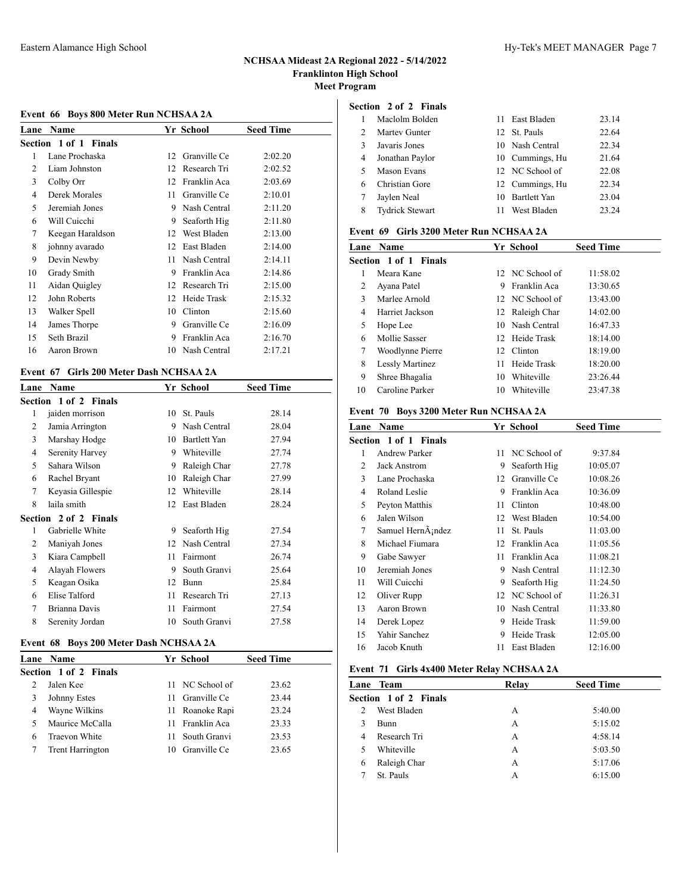## **Event 66 Boys 800 Meter Run NCHSAA 2A**

|    | <b>Lane Name</b>      |    | Yr School       | <b>Seed Time</b> |
|----|-----------------------|----|-----------------|------------------|
|    | Section 1 of 1 Finals |    |                 |                  |
| 1  | Lane Prochaska        | 12 | Granville Ce    | 2:02.20          |
| 2  | Liam Johnston         | 12 | Research Tri    | 2:02.52          |
| 3  | Colby Orr             | 12 | Franklin Aca    | 2:03.69          |
| 4  | Derek Morales         | 11 | Granville Ce    | 2:10.01          |
| 5  | Jeremiah Jones        | 9  | Nash Central    | 2:11.20          |
| 6  | Will Cuicchi          | 9  | Seaforth Hig    | 2:11.80          |
| 7  | Keegan Haraldson      | 12 | West Bladen     | 2:13.00          |
| 8  | johnny avarado        | 12 | East Bladen     | 2:14.00          |
| 9  | Devin Newby           | 11 | Nash Central    | 2:14.11          |
| 10 | Grady Smith           | 9  | Franklin Aca    | 2:14.86          |
| 11 | Aidan Quigley         | 12 | Research Tri    | 2:15.00          |
| 12 | John Roberts          | 12 | Heide Trask     | 2:15.32          |
| 13 | Walker Spell          | 10 | Clinton         | 2:15.60          |
| 14 | James Thorpe          | 9  | Granville Ce    | 2:16.09          |
| 15 | Seth Brazil           | 9  | Franklin Aca    | 2:16.70          |
| 16 | Aaron Brown           |    | 10 Nash Central | 2:17.21          |

### **Event 67 Girls 200 Meter Dash NCHSAA 2A**

| <b>Name</b>                  |    |              | <b>Seed Time</b> |
|------------------------------|----|--------------|------------------|
| <b>Section 1 of 2 Finals</b> |    |              |                  |
| jaiden morrison              | 10 | St. Pauls    | 28.14            |
| Jamia Arrington              | 9  | Nash Central | 28.04            |
| Marshay Hodge                | 10 | Bartlett Yan | 27.94            |
| Serenity Harvey              | 9  | Whiteville   | 27.74            |
| Sahara Wilson                | 9  | Raleigh Char | 27.78            |
| Rachel Bryant                | 10 | Raleigh Char | 27.99            |
| Keyasia Gillespie            | 12 | Whiteville   | 28.14            |
| laila smith                  | 12 | East Bladen  | 28.24            |
| <b>Section 2 of 2 Finals</b> |    |              |                  |
| Gabrielle White              | 9  | Seaforth Hig | 27.54            |
| Maniyah Jones                | 12 | Nash Central | 27.34            |
| Kiara Campbell               | 11 | Fairmont     | 26.74            |
| Alayah Flowers               | 9  | South Granvi | 25.64            |
| Keagan Osika                 | 12 | <b>Bunn</b>  | 25.84            |
| Elise Talford                | 11 | Research Tri | 27.13            |
| Brianna Davis                | 11 | Fairmont     | 27.54            |
| Serenity Jordan              | 10 | South Granvi | 27.58            |
|                              |    |              | Yr School        |

### **Event 68 Boys 200 Meter Dash NCHSAA 2A**

|   | <b>Lane</b> Name             |     | Yr School       | <b>Seed Time</b> |
|---|------------------------------|-----|-----------------|------------------|
|   | <b>Section 1 of 2 Finals</b> |     |                 |                  |
|   | Jalen Kee                    |     | 11 NC School of | 23.62            |
| 3 | Johnny Estes                 |     | 11 Granville Ce | 23.44            |
| 4 | Wayne Wilkins                |     | 11 Roanoke Rapi | 23.24            |
|   | Maurice McCalla              |     | 11 Franklin Aca | 23.33            |
| 6 | <b>Traevon White</b>         | 11. | South Granvi    | 23.53            |
|   | <b>Trent Harrington</b>      |     | 10 Granville Ce | 23.65            |
|   |                              |     |                 |                  |

### **Section 2 of 2 Finals**

|               | Maclolm Bolden         | 11 East Bladen  | 23.14 |
|---------------|------------------------|-----------------|-------|
| $\mathcal{D}$ | Martey Gunter          | 12 St. Pauls    | 22.64 |
| 3             | Javaris Jones          | 10 Nash Central | 22.34 |
| 4             | Jonathan Paylor        | 10 Cummings, Hu | 21.64 |
| 5             | Mason Evans            | 12 NC School of | 22.08 |
| 6             | Christian Gore         | 12 Cummings, Hu | 22.34 |
|               | Jaylen Neal            | 10 Bartlett Yan | 23.04 |
| 8             | <b>Tydrick Stewart</b> | West Bladen     | 23.24 |

### **Event 69 Girls 3200 Meter Run NCHSAA 2A**

|              | <b>Lane Name</b>      |     | Yr School       | <b>Seed Time</b> |
|--------------|-----------------------|-----|-----------------|------------------|
|              | Section 1 of 1 Finals |     |                 |                  |
|              | Meara Kane            |     | 12 NC School of | 11:58.02         |
| 2            | Ayana Patel           | 9   | Franklin Aca    | 13:30.65         |
| $\mathbf{3}$ | Marlee Arnold         |     | 12 NC School of | 13:43.00         |
| 4            | Harriet Jackson       |     | 12 Raleigh Char | 14:02.00         |
| 5            | Hope Lee              |     | 10 Nash Central | 16:47.33         |
| 6            | Mollie Sasser         |     | 12 Heide Trask  | 18:14.00         |
| 7            | Woodlynne Pierre      | 12. | Clinton         | 18:19.00         |
| 8            | Lessly Martinez       | 11  | Heide Trask     | 18:20.00         |
| 9            | Shree Bhagalia        | 10  | Whiteville      | 23:26.44         |
| 10           | Caroline Parker       | 10  | Whiteville      | 23:47.38         |

### **Event 70 Boys 3200 Meter Run NCHSAA 2A**

| Lane           | <b>Name</b>           |                 | Yr School    | <b>Seed Time</b> |
|----------------|-----------------------|-----------------|--------------|------------------|
|                | Section 1 of 1 Finals |                 |              |                  |
| 1              | Andrew Parker         | 11.             | NC School of | 9:37.84          |
| $\mathfrak{D}$ | Jack Anstrom          | 9               | Seaforth Hig | 10:05.07         |
| 3              | Lane Prochaska        | 12 <sub>1</sub> | Granville Ce | 10:08.26         |
| 4              | Roland Leslie         | 9               | Franklin Aca | 10:36.09         |
| 5              | Peyton Matthis        | 11              | Clinton      | 10:48.00         |
| 6              | Jalen Wilson          | 12              | West Bladen  | 10:54.00         |
| 7              | Samuel HernA;ndez     | 11              | St. Pauls    | 11:03.00         |
| 8              | Michael Fiumara       | 12              | Franklin Aca | 11:05.56         |
| 9              | Gabe Sawyer           | 11              | Franklin Aca | 11:08.21         |
| 10             | Jeremiah Jones        | 9               | Nash Central | 11:12.30         |
| 11             | Will Cuicchi          | 9               | Seaforth Hig | 11:24.50         |
| 12             | Oliver Rupp           | 12              | NC School of | 11:26.31         |
| 13             | Aaron Brown           | 10              | Nash Central | 11:33.80         |
| 14             | Derek Lopez           | 9               | Heide Trask  | 11:59.00         |
| 15             | Yahir Sanchez         | 9               | Heide Trask  | 12:05.00         |
| 16             | Jacob Knuth           | 11              | East Bladen  | 12:16.00         |
|                |                       |                 |              |                  |

## **Event 71 Girls 4x400 Meter Relay NCHSAA 2A**

| Lane Team             | Relay | <b>Seed Time</b> |  |
|-----------------------|-------|------------------|--|
| Section 1 of 2 Finals |       |                  |  |
| West Bladen<br>2      | A     | 5:40.00          |  |
| 3<br><b>Bunn</b>      | A     | 5:15.02          |  |
| Research Tri<br>4     | А     | 4:58.14          |  |
| Whiteville<br>5       | A     | 5:03.50          |  |
| Raleigh Char<br>6     | А     | 5:17.06          |  |
| St. Pauls             | А     | 6:15.00          |  |
|                       |       |                  |  |